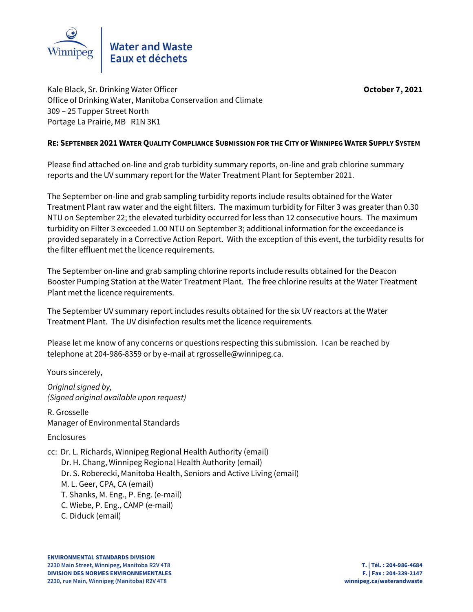

Kale Black, Sr. Drinking Water Officer **October 7, 2021** Office of Drinking Water, Manitoba Conservation and Climate 309 – 25 Tupper Street North Portage La Prairie, MB R1N 3K1

### **RE: SEPTEMBER 2021 WATER QUALITY COMPLIANCE SUBMISSION FOR THE CITY OF WINNIPEG WATER SUPPLY SYSTEM**

Please find attached on-line and grab turbidity summary reports, on-line and grab chlorine summary reports and the UV summary report for the Water Treatment Plant for September 2021.

The September on-line and grab sampling turbidity reports include results obtained for the Water Treatment Plant raw water and the eight filters. The maximum turbidity for Filter 3 was greater than 0.30 NTU on September 22; the elevated turbidity occurred for less than 12 consecutive hours. The maximum turbidity on Filter 3 exceeded 1.00 NTU on September 3; additional information for the exceedance is provided separately in a Corrective Action Report. With the exception of this event, the turbidity results for the filter effluent met the licence requirements.

The September on-line and grab sampling chlorine reports include results obtained for the Deacon Booster Pumping Station at the Water Treatment Plant. The free chlorine results at the Water Treatment Plant met the licence requirements.

The September UV summary report includes results obtained for the six UV reactors at the Water Treatment Plant. The UV disinfection results met the licence requirements.

Please let me know of any concerns or questions respecting this submission. I can be reached by telephone at 204-986-8359 or by e-mail at rgrosselle@winnipeg.ca.

Yours sincerely,

*Original signed by, (Signed original available upon request)*

R. Grosselle Manager of Environmental Standards

## Enclosures

cc: Dr. L. Richards, Winnipeg Regional Health Authority (email) Dr. H. Chang, Winnipeg Regional Health Authority (email) Dr. S. Roberecki, Manitoba Health, Seniors and Active Living (email) M. L. Geer, CPA, CA (email) T. Shanks, M. Eng., P. Eng. (e-mail) C. Wiebe, P. Eng., CAMP (e-mail) C. Diduck (email)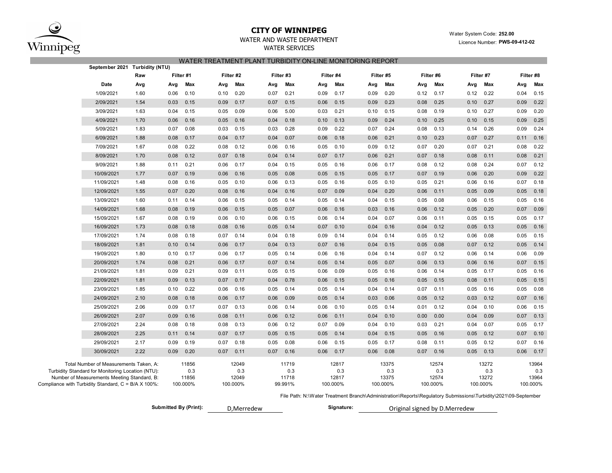

# **CITY OF WINNIPEG** WATER WATER WATER System Code: 252.00

WATER AND WASTE DEPARTMENT

### WATER SERVICES

### WATER TREATMENT PLANT TURBIDITY ON-LINE MONITORING REPORT

| Filter #8                         |                                   |      |                                   |      |                                   |      |                                   |      | Filter #2<br>Filter #3           |      |                                   |      |                                   |      |      |                                                                                                                                                                                                   |
|-----------------------------------|-----------------------------------|------|-----------------------------------|------|-----------------------------------|------|-----------------------------------|------|----------------------------------|------|-----------------------------------|------|-----------------------------------|------|------|---------------------------------------------------------------------------------------------------------------------------------------------------------------------------------------------------|
|                                   | Filter #7                         |      | Filter #6                         |      | Filter #5                         |      | Filter #4                         |      |                                  |      |                                   |      | Filter #1                         |      | Raw  |                                                                                                                                                                                                   |
| Max<br>Avg                        | Max                               | Avg  | Max                               | Avg  | Max                               | Avg  | Max                               | Avg  | Max                              | Avg  | Max                               | Avg  | Max                               | Avg  | Avg  | Date                                                                                                                                                                                              |
| 0.04<br>0.15                      | 0.22                              | 0.12 | 0.17                              | 0.12 | 0.20                              | 0.09 | 0.17                              | 0.09 | 0.21                             | 0.07 | 0.20                              | 0.10 | 0.10                              | 0.06 | 1.60 | 1/09/2021                                                                                                                                                                                         |
| 0.09<br>0.22                      | 0.27                              | 0.10 | 0.25                              | 0.08 | 0.23                              | 0.09 | 0.15                              | 0.06 | 0.15                             | 0.07 | 0.17                              | 0.09 | 0.15                              | 0.03 | 1.54 | 2/09/2021                                                                                                                                                                                         |
| 0.20<br>0.09                      | 0.27                              | 0.10 | 0.19                              | 0.08 | 0.15                              | 0.10 | 0.21                              | 0.03 | 5.00                             | 0.06 | 0.09                              | 0.05 | 0.15                              | 0.04 | 1.63 | 3/09/2021                                                                                                                                                                                         |
| 0.09<br>0.25                      | 0.15                              | 0.10 | 0.25                              | 0.10 | 0.24                              | 0.09 | 0.13                              | 0.10 | 0.18                             | 0.04 | 0.16                              | 0.05 | 0.16                              | 0.06 | 1.70 | 4/09/2021                                                                                                                                                                                         |
| 0.09<br>0.24                      | 0.26                              | 0.14 | 0.13                              | 0.08 | 0.24                              | 0.07 | 0.22                              | 0.09 | 0.28                             | 0.03 | 0.15                              | 0.03 | 0.08                              | 0.07 | 1.83 | 5/09/2021                                                                                                                                                                                         |
| 0.16<br>0.11                      | 0.27                              | 0.07 | 0.23                              | 0.10 | 0.21                              | 0.06 | 0.18                              | 0.06 | 0.07                             | 0.04 | 0.17                              | 0.04 | 0.17                              | 0.08 | 1.88 | 6/09/2021                                                                                                                                                                                         |
| 0.22<br>0.08                      | 0.21                              | 0.07 | 0.20                              | 0.07 | 0.12                              | 0.09 | 0.10                              | 0.05 | 0.16                             | 0.06 | 0.12                              | 0.08 | 0.22                              | 0.08 | 1.67 | 7/09/2021                                                                                                                                                                                         |
| 0.21<br>0.08                      | 0.11                              | 0.08 | 0.18                              | 0.07 | 0.21                              | 0.06 | 0.17                              | 0.07 | 0.14                             | 0.04 | 0.18                              | 0.07 | 0.12                              | 0.08 | 1.70 | 8/09/2021                                                                                                                                                                                         |
| 0.07<br>0.12                      | 0.24                              | 0.08 | 0.12                              | 0.08 | 0.17                              | 0.06 | 0.16                              | 0.05 | 0.15                             | 0.04 | 0.17                              | 0.06 | 0.21                              | 0.11 | 1.88 | 9/09/2021                                                                                                                                                                                         |
| 0.22<br>0.09                      | 0.20                              | 0.06 | 0.19                              | 0.07 | 0.17                              | 0.05 | 0.15                              | 0.05 | 0.08                             | 0.05 | 0.16                              | 0.06 | 0.19                              | 0.07 | 1.77 | 10/09/2021                                                                                                                                                                                        |
| 0.07<br>0.18                      | 0.16                              | 0.06 | 0.21                              | 0.05 | 0.10                              | 0.05 | 0.16                              | 0.05 | 0.13                             | 0.06 | 0.10                              | 0.05 | 0.16                              | 0.08 | 1.48 | 11/09/2021                                                                                                                                                                                        |
| 0.05<br>0.18                      | 0.09                              | 0.05 | 0.11                              | 0.06 | 0.20                              | 0.04 | 0.09                              | 0.07 | 0.16                             | 0.04 | 0.16                              | 0.08 | 0.20                              | 0.07 | 1.55 | 12/09/2021                                                                                                                                                                                        |
| 0.05<br>0.16                      | 0.15                              | 0.06 | 0.08                              | 0.05 | 0.15                              | 0.04 | 0.14                              | 0.05 | 0.14                             | 0.05 | 0.15                              | 0.06 | 0.14                              | 0.11 | 1.60 | 13/09/2021                                                                                                                                                                                        |
| 0.07<br>0.09                      | 0.20                              | 0.05 | 0.12                              | 0.06 | 0.16                              | 0.03 | 0.16                              | 0.06 | 0.07                             | 0.05 | 0.15                              | 0.06 | 0.19                              | 0.08 | 1.68 | 14/09/2021                                                                                                                                                                                        |
| 0.05<br>0.17                      | 0.15                              | 0.05 | 0.11                              | 0.06 | 0.07                              | 0.04 | 0.14                              | 0.06 | 0.15                             | 0.06 | 0.10                              | 0.06 | 0.19                              | 0.08 | 1.67 | 15/09/2021                                                                                                                                                                                        |
| 0.05<br>0.16                      | 0.13                              | 0.05 | 0.12                              | 0.04 | 0.16                              | 0.04 | 0.10                              | 0.07 | 0.14                             | 0.05 | 0.16                              | 0.08 | 0.18                              | 0.08 | 1.73 | 16/09/2021                                                                                                                                                                                        |
| 0.05<br>0.15                      | 0.08                              | 0.06 | 0.12                              | 0.05 | 0.14                              | 0.04 | 0.14                              | 0.09 | 0.18                             | 0.04 | 0.14                              | 0.07 | 0.18                              | 0.08 | 1.74 | 17/09/2021                                                                                                                                                                                        |
| 0.14<br>0.05                      | 0.12                              | 0.07 | 0.08                              | 0.05 | 0.15                              | 0.04 | 0.16                              | 0.07 | 0.13                             | 0.04 | 0.17                              | 0.06 | 0.14                              | 0.10 | 1.81 | 18/09/2021                                                                                                                                                                                        |
| 0.06<br>0.09                      | 0.14                              | 0.06 | 0.12                              | 0.07 | 0.14                              | 0.04 | 0.16                              | 0.06 | 0.14                             | 0.05 | 0.17                              | 0.06 | 0.17                              | 0.10 | 1.80 | 19/09/2021                                                                                                                                                                                        |
| 0.07<br>0.15                      | 0.16                              | 0.06 | 0.13                              | 0.06 | 0.07                              | 0.05 | 0.14                              | 0.05 | 0.14                             | 0.07 | 0.17                              | 0.06 | 0.21                              | 0.08 | 1.74 | 20/09/2021                                                                                                                                                                                        |
| 0.05<br>0.16                      | 0.17                              | 0.05 | 0.14                              | 0.06 | 0.16                              | 0.05 | 0.09                              | 0.06 | 0.15                             | 0.05 | 0.11                              | 0.09 | 0.21                              | 0.09 | 1.81 | 21/09/2021                                                                                                                                                                                        |
| 0.05<br>0.15                      | 0.11                              | 0.08 | 0.15                              | 0.05 | 0.16                              | 0.05 | 0.15                              | 0.06 | 0.78                             | 0.04 | 0.17                              | 0.07 | 0.13                              | 0.09 | 1.81 | 22/09/2021                                                                                                                                                                                        |
| 0.05<br>0.08                      | 0.16                              | 0.05 | 0.11                              | 0.07 | 0.14                              | 0.04 | 0.14                              | 0.05 | 0.14                             | 0.05 | 0.16                              | 0.06 | 0.22                              | 0.10 | 1.85 | 23/09/2021                                                                                                                                                                                        |
| 0.07<br>0.16                      | 0.12                              | 0.03 | 0.12                              | 0.05 | 0.06                              | 0.03 | 0.14                              | 0.05 | 0.09                             | 0.06 | 0.17                              | 0.06 | 0.18                              | 0.08 | 2.10 | 24/09/2021                                                                                                                                                                                        |
| 0.06<br>0.15                      | 0.10                              | 0.04 | 0.12                              | 0.01 | 0.14                              | 0.05 | 0.10                              | 0.06 | 0.14                             | 0.06 | 0.13                              | 0.07 | 0.17                              | 0.09 | 2.06 | 25/09/2021                                                                                                                                                                                        |
| 0.13<br>0.07                      | 0.09                              | 0.04 | 0.00                              | 0.00 | 0.10                              | 0.04 | 0.11                              | 0.06 | 0.12                             | 0.06 | 0.11                              | 0.08 | 0.16                              | 0.09 | 2.07 | 26/09/2021                                                                                                                                                                                        |
| 0.05<br>0.17                      | 0.07                              | 0.04 | 0.21                              | 0.03 | 0.10                              | 0.04 | 0.09                              | 0.07 | 0.12                             | 0.06 | 0.13                              | 0.08 | 0.18                              | 0.08 | 2.24 | 27/09/2021                                                                                                                                                                                        |
| 0.07<br>0.10                      | 0.12                              | 0.05 | 0.16                              | 0.05 | 0.15                              | 0.04 | 0.14                              | 0.05 | 0.15                             | 0.05 | 0.17                              | 0.07 | 0.14                              | 0.11 | 2.25 | 28/09/2021                                                                                                                                                                                        |
| 0.07<br>0.16                      | 0.12                              | 0.05 | 0.11                              | 0.08 | 0.17                              | 0.05 | 0.15                              | 0.06 | 0.08                             | 0.05 | 0.18                              | 0.07 | 0.19                              | 0.09 | 2.17 | 29/09/2021                                                                                                                                                                                        |
| 0.06<br>0.17                      | 0.13                              | 0.05 | 0.16                              | 0.07 | 0.08                              | 0.06 | 0.17                              | 0.06 | 0.16                             | 0.07 | 0.11                              | 0.07 | 0.20                              | 0.09 | 2.22 | 30/09/2021                                                                                                                                                                                        |
| 13964<br>0.3<br>13964<br>100.000% | 13272<br>0.3<br>13272<br>100.000% |      | 12574<br>0.3<br>12574<br>100.000% |      | 13375<br>0.3<br>13375<br>100.000% |      | 12817<br>0.3<br>12817<br>100.000% |      | 11719<br>0.3<br>11718<br>99.991% |      | 12049<br>0.3<br>12049<br>100.000% |      | 11856<br>0.3<br>11856<br>100.000% |      |      | Total Number of Measurements Taken, A:<br>Turbidity Standard for Monitoring Location (NTU):<br>Number of Measurements Meeting Standard, B:<br>Compliance with Turbidity Standard, C = B/A X 100%: |

File Path: N:\Water Treatment Branch\Administration\Reports\Regulatory Submissions\Turbidity\2021\09-September

Submitted By (Print): **D**, Merredew **Signature:** 

Original signed by D.Merredew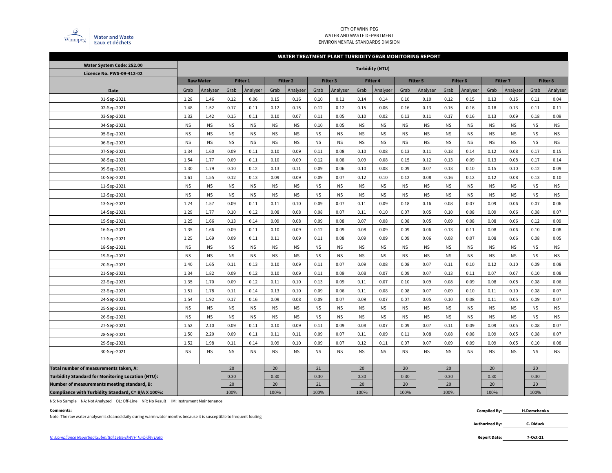

### CITY OF WINNIPEG WATER AND WASTE DEPARTMENT ENVIRONMENTAL STANDARDS DIVISION

### **WATER TREATMENT PLANT TURBIDITY GRAB MONITORING REPORT**

| Water System Code: 252.00                                | <b>Turbidity (NTU)</b> |                  |           |           |           |                     |           |           |           |                 |           |                 |           |           |           |                 |           |           |
|----------------------------------------------------------|------------------------|------------------|-----------|-----------|-----------|---------------------|-----------|-----------|-----------|-----------------|-----------|-----------------|-----------|-----------|-----------|-----------------|-----------|-----------|
| Licence No. PWS-09-412-02                                |                        |                  |           |           |           | Filter <sub>2</sub> |           | Filter 3  |           |                 |           |                 |           | Filter 6  |           | <b>Filter 7</b> |           | Filter 8  |
|                                                          |                        | <b>Raw Water</b> |           | Filter 1  |           |                     |           |           |           | <b>Filter 4</b> |           | <b>Filter 5</b> |           |           |           |                 |           |           |
| Date                                                     | Grab                   | Analyser         | Grab      | Analyser  | Grab      | Analyser            | Grab      | Analyser  | Grab      | Analyser        | Grab      | Analyser        | Grab      | Analyser  | Grab      | Analyser        | Grab      | Analyser  |
| 01-Sep-2021                                              | 1.28                   | 1.46             | 0.12      | 0.06      | 0.15      | 0.16                | 0.10      | 0.11      | 0.14      | 0.14            | 0.10      | 0.10            | 0.12      | 0.15      | 0.13      | 0.15            | 0.11      | 0.04      |
| 02-Sep-2021                                              | 1.48                   | 1.52             | 0.17      | 0.11      | 0.12      | 0.15                | 0.12      | 0.12      | 0.15      | 0.06            | 0.16      | 0.13            | 0.15      | 0.16      | 0.18      | 0.13            | 0.11      | 0.11      |
| 03-Sep-2021                                              | 1.32                   | 1.42             | 0.15      | 0.11      | 0.10      | 0.07                | 0.11      | 0.05      | 0.10      | 0.02            | 0.13      | 0.11            | 0.17      | 0.16      | 0.13      | 0.09            | 0.18      | 0.09      |
| 04-Sep-2021                                              | <b>NS</b>              | <b>NS</b>        | <b>NS</b> | <b>NS</b> | <b>NS</b> | <b>NS</b>           | 0.10      | 0.05      | <b>NS</b> | <b>NS</b>       | <b>NS</b> | <b>NS</b>       | <b>NS</b> | <b>NS</b> | <b>NS</b> | <b>NS</b>       | <b>NS</b> | <b>NS</b> |
| 05-Sep-2021                                              | <b>NS</b>              | <b>NS</b>        | <b>NS</b> | <b>NS</b> | <b>NS</b> | <b>NS</b>           | <b>NS</b> | <b>NS</b> | <b>NS</b> | <b>NS</b>       | <b>NS</b> | <b>NS</b>       | <b>NS</b> | <b>NS</b> | <b>NS</b> | <b>NS</b>       | <b>NS</b> | <b>NS</b> |
| 06-Sep-2021                                              | <b>NS</b>              | <b>NS</b>        | <b>NS</b> | <b>NS</b> | <b>NS</b> | <b>NS</b>           | <b>NS</b> | <b>NS</b> | <b>NS</b> | <b>NS</b>       | <b>NS</b> | <b>NS</b>       | <b>NS</b> | <b>NS</b> | <b>NS</b> | <b>NS</b>       | <b>NS</b> | <b>NS</b> |
| 07-Sep-2021                                              | 1.34                   | 1.60             | 0.09      | 0.11      | 0.10      | 0.09                | 0.11      | 0.08      | 0.10      | 0.08            | 0.13      | 0.11            | 0.18      | 0.14      | 0.12      | 0.08            | 0.17      | 0.15      |
| 08-Sep-2021                                              | 1.54                   | 1.77             | 0.09      | 0.11      | 0.10      | 0.09                | 0.12      | 0.08      | 0.09      | 0.08            | 0.15      | 0.12            | 0.13      | 0.09      | 0.13      | 0.08            | 0.17      | 0.14      |
| 09-Sep-2021                                              | 1.30                   | 1.79             | 0.10      | 0.12      | 0.13      | 0.11                | 0.09      | 0.06      | 0.10      | 0.08            | 0.09      | 0.07            | 0.13      | 0.10      | 0.15      | 0.10            | 0.12      | 0.09      |
| 10-Sep-2021                                              | 1.61                   | 1.55             | 0.12      | 0.13      | 0.09      | 0.09                | 0.09      | 0.07      | 0.12      | 0.10            | 0.12      | 0.08            | 0.16      | 0.12      | 0.12      | 0.08            | 0.13      | 0.10      |
| 11-Sep-2021                                              | <b>NS</b>              | <b>NS</b>        | <b>NS</b> | <b>NS</b> | <b>NS</b> | <b>NS</b>           | <b>NS</b> | <b>NS</b> | <b>NS</b> | <b>NS</b>       | <b>NS</b> | <b>NS</b>       | <b>NS</b> | <b>NS</b> | <b>NS</b> | <b>NS</b>       | <b>NS</b> | <b>NS</b> |
| 12-Sep-2021                                              | <b>NS</b>              | <b>NS</b>        | <b>NS</b> | <b>NS</b> | <b>NS</b> | <b>NS</b>           | <b>NS</b> | <b>NS</b> | <b>NS</b> | <b>NS</b>       | <b>NS</b> | <b>NS</b>       | <b>NS</b> | <b>NS</b> | <b>NS</b> | <b>NS</b>       | <b>NS</b> | <b>NS</b> |
| 13-Sep-2021                                              | 1.24                   | 1.57             | 0.09      | 0.11      | 0.11      | 0.10                | 0.09      | 0.07      | 0.11      | 0.09            | 0.18      | 0.16            | 0.08      | 0.07      | 0.09      | 0.06            | 0.07      | 0.06      |
| 14-Sep-2021                                              | 1.29                   | 1.77             | 0.10      | 0.12      | 0.08      | 0.08                | 0.08      | 0.07      | 0.11      | 0.10            | 0.07      | 0.05            | 0.10      | 0.08      | 0.09      | 0.06            | 0.08      | 0.07      |
| 15-Sep-2021                                              | 1.25                   | 1.66             | 0.13      | 0.14      | 0.09      | 0.08                | 0.09      | 0.08      | 0.07      | 0.08            | 0.08      | 0.05            | 0.09      | 0.08      | 0.08      | 0.06            | 0.12      | 0.09      |
| 16-Sep-2021                                              | 1.35                   | 1.66             | 0.09      | 0.11      | 0.10      | 0.09                | 0.12      | 0.09      | 0.08      | 0.09            | 0.09      | 0.06            | 0.13      | 0.11      | 0.08      | 0.06            | 0.10      | 0.08      |
| 17-Sep-2021                                              | 1.25                   | 1.69             | 0.09      | 0.11      | 0.11      | 0.09                | 0.11      | 0.08      | 0.09      | 0.09            | 0.09      | 0.06            | 0.08      | 0.07      | 0.08      | 0.06            | 0.08      | 0.05      |
| 18-Sep-2021                                              | <b>NS</b>              | <b>NS</b>        | <b>NS</b> | <b>NS</b> | <b>NS</b> | <b>NS</b>           | <b>NS</b> | <b>NS</b> | <b>NS</b> | <b>NS</b>       | <b>NS</b> | <b>NS</b>       | <b>NS</b> | <b>NS</b> | <b>NS</b> | <b>NS</b>       | <b>NS</b> | <b>NS</b> |
| 19-Sep-2021                                              | <b>NS</b>              | <b>NS</b>        | <b>NS</b> | <b>NS</b> | <b>NS</b> | <b>NS</b>           | <b>NS</b> | <b>NS</b> | <b>NS</b> | <b>NS</b>       | <b>NS</b> | <b>NS</b>       | <b>NS</b> | <b>NS</b> | <b>NS</b> | <b>NS</b>       | <b>NS</b> | <b>NS</b> |
| 20-Sep-2021                                              | 1.40                   | 1.65             | 0.11      | 0.13      | 0.10      | 0.09                | 0.11      | 0.07      | 0.09      | 0.08            | 0.08      | 0.07            | 0.11      | 0.10      | 0.12      | 0.10            | 0.09      | 0.08      |
| 21-Sep-2021                                              | 1.34                   | 1.82             | 0.09      | 0.12      | 0.10      | 0.09                | 0.11      | 0.09      | 0.08      | 0.07            | 0.09      | 0.07            | 0.13      | 0.11      | 0.07      | 0.07            | 0.10      | 0.08      |
| 22-Sep-2021                                              | 1.35                   | 1.70             | 0.09      | 0.12      | 0.11      | 0.10                | 0.13      | 0.09      | 0.11      | 0.07            | 0.10      | 0.09            | 0.08      | 0.09      | 0.08      | 0.08            | 0.08      | 0.06      |
| 23-Sep-2021                                              | 1.51                   | 1.78             | 0.11      | 0.14      | 0.13      | 0.10                | 0.09      | 0.06      | 0.11      | 0.08            | 0.08      | 0.07            | 0.09      | 0.10      | 0.11      | 0.10            | 0.08      | 0.07      |
| 24-Sep-2021                                              | 1.54                   | 1.92             | 0.17      | 0.16      | 0.09      | 0.08                | 0.09      | 0.07      | 0.09      | 0.07            | 0.07      | 0.05            | 0.10      | 0.08      | 0.11      | 0.05            | 0.09      | 0.07      |
| 25-Sep-2021                                              | <b>NS</b>              | <b>NS</b>        | <b>NS</b> | <b>NS</b> | <b>NS</b> | <b>NS</b>           | <b>NS</b> | <b>NS</b> | <b>NS</b> | <b>NS</b>       | <b>NS</b> | <b>NS</b>       | <b>NS</b> | <b>NS</b> | <b>NS</b> | <b>NS</b>       | <b>NS</b> | <b>NS</b> |
| 26-Sep-2021                                              | <b>NS</b>              | <b>NS</b>        | <b>NS</b> | <b>NS</b> | <b>NS</b> | <b>NS</b>           | <b>NS</b> | <b>NS</b> | <b>NS</b> | <b>NS</b>       | <b>NS</b> | <b>NS</b>       | <b>NS</b> | <b>NS</b> | <b>NS</b> | <b>NS</b>       | <b>NS</b> | <b>NS</b> |
| 27-Sep-2021                                              | 1.52                   | 2.10             | 0.09      | 0.11      | 0.10      | 0.09                | 0.11      | 0.09      | 0.08      | 0.07            | 0.09      | 0.07            | 0.11      | 0.09      | 0.09      | 0.05            | 0.08      | 0.07      |
| 28-Sep-2021                                              | 1.50                   | 2.20             | 0.09      | 0.11      | 0.11      | 0.11                | 0.09      | 0.07      | 0.11      | 0.09            | 0.11      | 0.08            | 0.08      | 0.08      | 0.09      | 0.05            | 0.08      | 0.07      |
| 29-Sep-2021                                              | 1.52                   | 1.98             | 0.11      | 0.14      | 0.09      | 0.10                | 0.09      | 0.07      | 0.12      | 0.11            | 0.07      | 0.07            | 0.09      | 0.09      | 0.09      | 0.05            | 0.10      | 0.08      |
| 30-Sep-2021                                              | <b>NS</b>              | <b>NS</b>        | <b>NS</b> | <b>NS</b> | <b>NS</b> | <b>NS</b>           | <b>NS</b> | <b>NS</b> | <b>NS</b> | <b>NS</b>       | <b>NS</b> | <b>NS</b>       | <b>NS</b> | <b>NS</b> | <b>NS</b> | <b>NS</b>       | <b>NS</b> | <b>NS</b> |
|                                                          |                        |                  |           |           |           |                     |           |           |           |                 |           |                 |           |           |           |                 |           |           |
| Total number of measurements taken, A:                   |                        |                  | 20        |           | 20        |                     | 21        |           | 20        |                 | 20        |                 | 20        |           | 20        |                 | 20        |           |
| <b>Turbidity Standard for Monitoring Location (NTU):</b> |                        |                  | 0.30      |           | 0.30      |                     | 0.30      |           | 0.30      |                 | 0.30      |                 | 0.30      |           | 0.30      |                 | 0.30      |           |
| Number of measurements meeting standard, B:              |                        |                  | 20        |           | 20        |                     | 21        |           | 20        |                 | 20        |                 | 20        |           | 20        |                 | 20        |           |
| Compliance with Turbidity Standard, C= B/A X 100%:       |                        |                  | 100%      |           | 100%      |                     | 100%      |           | 100%      |                 | 100%      |                 | 100%      |           | 100%      |                 | 100%      |           |

NS: No Sample NA: Not Analyzed OL: Off-Line NR: No Result IM: Instrument Maintenance

#### **Comments: Compiled By:**

Note: The raw water analyser is cleaned daily during warm water months because it is susceptible to frequent fouling

**H.Demchenko**

**Authorized By: C. Diduck**

**7-Oct-21**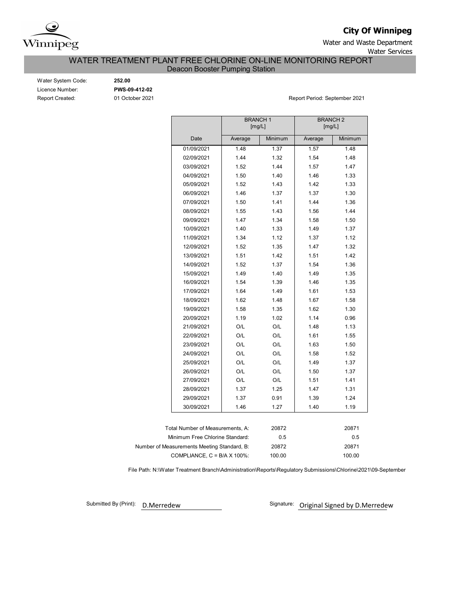

**City Of Winnipeg**

Water and Waste Department Water Services

# WATER TREATMENT PLANT FREE CHLORINE ON-LINE MONITORING REPORT

Deacon Booster Pumping Station

| Water System Code:     |
|------------------------|
| Licence Number:        |
| <b>Report Created:</b> |

Water System Code: **252.00** Licence Number: **PWS-09-412-02**

01 October 2021 **Report Period: September 2021** 

|                                      | <b>BRANCH1</b> | [mg/L]  | <b>BRANCH 2</b><br>[mg/L] |         |  |  |  |  |  |
|--------------------------------------|----------------|---------|---------------------------|---------|--|--|--|--|--|
| Date                                 | Average        | Minimum | Average                   | Minimum |  |  |  |  |  |
| 01/09/2021                           | 1.48           | 1.37    | 1.57                      | 1.48    |  |  |  |  |  |
| 02/09/2021                           | 1.44           | 1.32    | 1.54                      | 1.48    |  |  |  |  |  |
| 03/09/2021                           | 1.52           | 1.44    | 1.57                      | 1.47    |  |  |  |  |  |
| 04/09/2021                           | 1.50           | 1.40    | 1.46                      | 1.33    |  |  |  |  |  |
| 05/09/2021                           | 1.52           | 1.43    | 1.42                      | 1.33    |  |  |  |  |  |
| 06/09/2021                           | 1.46           | 1.37    | 1.37                      | 1.30    |  |  |  |  |  |
| 07/09/2021                           | 1.50           | 1.41    | 1.44                      | 1.36    |  |  |  |  |  |
| 08/09/2021                           | 1.55           | 1.43    | 1.56                      | 1.44    |  |  |  |  |  |
| 09/09/2021                           | 1.47           | 1.34    | 1.58                      | 1.50    |  |  |  |  |  |
| 10/09/2021                           | 1.40           | 1.33    | 1.49                      | 1.37    |  |  |  |  |  |
| 11/09/2021                           | 1.34           | 1.12    | 1.37                      | 1.12    |  |  |  |  |  |
| 12/09/2021                           | 1.52           | 1.35    | 1.47                      | 1.32    |  |  |  |  |  |
| 13/09/2021                           | 1.51           | 1.42    | 1.51                      | 1.42    |  |  |  |  |  |
| 14/09/2021                           | 1.52           | 1.37    | 1.54                      | 1.36    |  |  |  |  |  |
| 15/09/2021                           | 1.49           | 1.40    | 1.49                      | 1.35    |  |  |  |  |  |
| 16/09/2021                           | 1.54           | 1.39    | 1.46                      | 1.35    |  |  |  |  |  |
| 17/09/2021                           | 1.64           | 1.49    | 1.61                      | 1.53    |  |  |  |  |  |
| 18/09/2021                           | 1.62           | 1.48    | 1.67                      | 1.58    |  |  |  |  |  |
| 19/09/2021                           | 1.58           | 1.35    | 1.62                      | 1.30    |  |  |  |  |  |
| 20/09/2021                           | 1.19           | 1.02    | 1.14                      | 0.96    |  |  |  |  |  |
| 21/09/2021                           | O/L            | O/L     | 1.48                      | 1.13    |  |  |  |  |  |
| 22/09/2021                           | O/L            | O/L     | 1.61                      | 1.55    |  |  |  |  |  |
| 23/09/2021                           | O/L            | O/L     | 1.63                      | 1.50    |  |  |  |  |  |
| 24/09/2021                           | O/L            | O/L     | 1.58                      | 1.52    |  |  |  |  |  |
| 25/09/2021                           | O/L            | O/L     | 1.49                      | 1.37    |  |  |  |  |  |
| 26/09/2021                           | O/L            | O/L     | 1.50                      | 1.37    |  |  |  |  |  |
| 27/09/2021                           | O/L            | O/L     | 1.51                      | 1.41    |  |  |  |  |  |
| 28/09/2021                           | 1.37           | 1.25    | 1.47                      | 1.31    |  |  |  |  |  |
| 29/09/2021                           | 1.37           | 0.91    | 1.39                      | 1.24    |  |  |  |  |  |
| 30/09/2021                           | 1.46           | 1.27    | 1.40                      | 1.19    |  |  |  |  |  |
|                                      |                |         |                           |         |  |  |  |  |  |
| Total Number of Measurements, A:     |                | 20872   |                           | 20871   |  |  |  |  |  |
| Minimum Free Chlorine Standard:      |                | 0.5     |                           | 0.5     |  |  |  |  |  |
| Measurements Meeting Standard, B:    |                | 20872   |                           | 20871   |  |  |  |  |  |
| COMPLIANCE, $C = B/A \times 100\%$ : |                | 100.00  |                           | 100.00  |  |  |  |  |  |

File Path: N:\Water Treatment Branch\Administration\Reports\Regulatory Submissions\Chlorine\2021\09-September

Submitted By (Print): D.Merredew

Number of

Signature: Original Signed by D.Merredew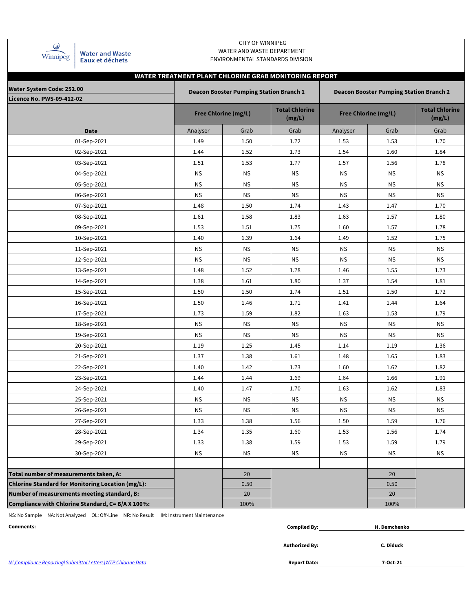| Winnipeg |
|----------|

**Water and Waste** Eaux et déchets

### CITY OF WINNIPEG WATER AND WASTE DEPARTMENT ENVIRONMENTAL STANDARDS DIVISION

### **WATER TREATMENT PLANT CHLORINE GRAB MONITORING REPORT**

| Water System Code: 252.00<br><b>Licence No. PWS-09-412-02</b> |           | <b>Deacon Booster Pumping Station Branch 1</b> |                                 | <b>Deacon Booster Pumping Station Branch 2</b> |                             |                                 |  |  |  |  |
|---------------------------------------------------------------|-----------|------------------------------------------------|---------------------------------|------------------------------------------------|-----------------------------|---------------------------------|--|--|--|--|
|                                                               |           | <b>Free Chlorine (mg/L)</b>                    | <b>Total Chlorine</b><br>(mg/L) |                                                | <b>Free Chlorine (mg/L)</b> | <b>Total Chlorine</b><br>(mg/L) |  |  |  |  |
| Date                                                          | Analyser  | Grab                                           | Grab                            | Analyser                                       | Grab                        | Grab                            |  |  |  |  |
| 01-Sep-2021                                                   | 1.49      | 1.50                                           | 1.72                            | 1.53                                           | 1.53                        | 1.70                            |  |  |  |  |
| 02-Sep-2021                                                   | 1.44      | 1.52                                           | 1.73                            | 1.54                                           | 1.60                        | 1.84                            |  |  |  |  |
| 03-Sep-2021                                                   | 1.51      | 1.53                                           | 1.77                            | 1.57                                           | 1.56                        | 1.78                            |  |  |  |  |
| 04-Sep-2021                                                   | <b>NS</b> | <b>NS</b>                                      | <b>NS</b>                       | <b>NS</b>                                      | <b>NS</b>                   | <b>NS</b>                       |  |  |  |  |
| 05-Sep-2021                                                   | <b>NS</b> | ΝS                                             | <b>NS</b>                       | <b>NS</b>                                      | NS.                         | <b>NS</b>                       |  |  |  |  |
| 06-Sep-2021                                                   | ΝS        | ΝS                                             | <b>NS</b>                       | <b>NS</b>                                      | ΝS                          | <b>NS</b>                       |  |  |  |  |
| 07-Sep-2021                                                   | 1.48      | 1.50                                           | 1.74                            | 1.43                                           | 1.47                        | 1.70                            |  |  |  |  |
| 08-Sep-2021                                                   | 1.61      | 1.58                                           | 1.83                            | 1.63                                           | 1.57                        | 1.80                            |  |  |  |  |
| 09-Sep-2021                                                   | 1.53      | 1.51                                           | 1.75                            | 1.60                                           | 1.57                        | 1.78                            |  |  |  |  |
| 10-Sep-2021                                                   | 1.40      | 1.39                                           | 1.64                            | 1.49                                           | 1.52                        | 1.75                            |  |  |  |  |
| 11-Sep-2021                                                   | <b>NS</b> | <b>NS</b>                                      | <b>NS</b>                       | <b>NS</b>                                      | <b>NS</b>                   | <b>NS</b>                       |  |  |  |  |
| 12-Sep-2021                                                   | <b>NS</b> | <b>NS</b>                                      | <b>NS</b>                       | <b>NS</b>                                      | <b>NS</b>                   | <b>NS</b>                       |  |  |  |  |
| 13-Sep-2021                                                   | 1.48      | 1.52                                           | 1.78                            | 1.46                                           | 1.55                        | 1.73                            |  |  |  |  |
| 14-Sep-2021                                                   | 1.38      | 1.61                                           | 1.80                            | 1.37                                           | 1.54                        | 1.81                            |  |  |  |  |
| 15-Sep-2021                                                   | 1.50      | 1.50                                           | 1.74                            | 1.51                                           | 1.50                        | 1.72                            |  |  |  |  |
| 16-Sep-2021                                                   | 1.50      | 1.46                                           | 1.71                            | 1.41                                           | 1.44                        | 1.64                            |  |  |  |  |
| 17-Sep-2021                                                   | 1.73      | 1.59                                           | 1.82                            | 1.63                                           | 1.53                        | 1.79                            |  |  |  |  |
| 18-Sep-2021                                                   | <b>NS</b> | <b>NS</b>                                      | <b>NS</b>                       | <b>NS</b>                                      | <b>NS</b>                   | <b>NS</b>                       |  |  |  |  |
| 19-Sep-2021                                                   | ΝS        | ΝS                                             | <b>NS</b>                       | <b>NS</b>                                      | <b>NS</b>                   | <b>NS</b>                       |  |  |  |  |
| 20-Sep-2021                                                   | 1.19      | 1.25                                           | 1.45                            | 1.14                                           | 1.19                        | 1.36                            |  |  |  |  |
| 21-Sep-2021                                                   | 1.37      | 1.38                                           | 1.61                            | 1.48                                           | 1.65                        | 1.83                            |  |  |  |  |
| 22-Sep-2021                                                   | 1.40      | 1.42                                           | 1.73                            | 1.60                                           | 1.62                        | 1.82                            |  |  |  |  |
| 23-Sep-2021                                                   | 1.44      | 1.44                                           | 1.69                            | 1.64                                           | 1.66                        | 1.91                            |  |  |  |  |
| 24-Sep-2021                                                   | 1.40      | 1.47                                           | 1.70                            | 1.63                                           | 1.62                        | 1.83                            |  |  |  |  |
| 25-Sep-2021                                                   | ΝS        | <b>NS</b>                                      | <b>NS</b>                       | <b>NS</b>                                      | <b>NS</b>                   | <b>NS</b>                       |  |  |  |  |
| 26-Sep-2021                                                   | <b>NS</b> | <b>NS</b>                                      | <b>NS</b>                       | <b>NS</b>                                      | <b>NS</b>                   | <b>NS</b>                       |  |  |  |  |
| 27-Sep-2021                                                   | 1.33      | 1.38                                           | 1.56                            | 1.50                                           | 1.59                        | 1.76                            |  |  |  |  |
| 28-Sep-2021                                                   | 1.34      | 1.35                                           | 1.60                            | 1.53                                           | 1.56                        | 1.74                            |  |  |  |  |
| 29-Sep-2021                                                   | 1.33      | 1.38                                           | 1.59                            | 1.53                                           | 1.59                        | 1.79                            |  |  |  |  |
| 30-Sep-2021                                                   | <b>NS</b> | <b>NS</b>                                      | <b>NS</b>                       | <b>NS</b>                                      | <b>NS</b>                   | <b>NS</b>                       |  |  |  |  |
|                                                               |           |                                                |                                 |                                                |                             |                                 |  |  |  |  |
| Total number of measurements taken, A:                        |           | 20                                             |                                 |                                                | 20                          |                                 |  |  |  |  |
| <b>Chlorine Standard for Monitoring Location (mg/L):</b>      |           | 0.50                                           |                                 |                                                | 0.50                        |                                 |  |  |  |  |
| Number of measurements meeting standard, B:                   |           | 20                                             |                                 |                                                | 20                          |                                 |  |  |  |  |
| Compliance with Chlorine Standard, C= B/A X 100%:             |           | 100%                                           |                                 |                                                | 100%                        |                                 |  |  |  |  |

NS: No Sample NA: Not Analyzed OL: Off-Line NR: No Result IM: Instrument Maintenance

**Comments: Compiled By:**

| mpiled By: | H. Demchenko |
|------------|--------------|
|            |              |

**Authorized By:**

**C. Diduck**

**7-Oct-21**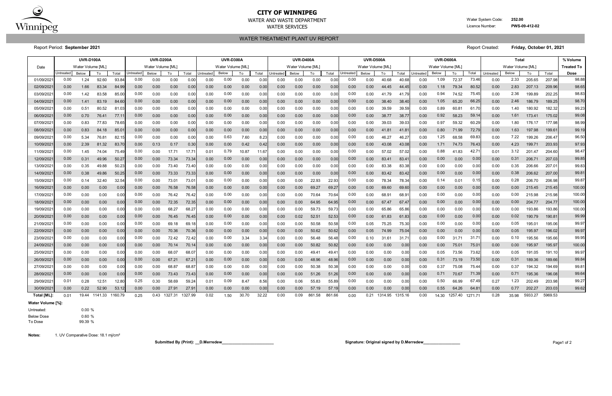|             | <b>UVR-D100A</b> |                   |         |         |           | <b>UVR-D200A</b>  |         |                | <b>UVR-D300A</b> |                   |       |       | <b>UVR-D400A</b> |                   |        |        |           | <b>UVR-D500A</b>  |         |         |                  | <b>UVR-D600A</b>  |                |        |           | % Volume          |         |                    |                   |
|-------------|------------------|-------------------|---------|---------|-----------|-------------------|---------|----------------|------------------|-------------------|-------|-------|------------------|-------------------|--------|--------|-----------|-------------------|---------|---------|------------------|-------------------|----------------|--------|-----------|-------------------|---------|--------------------|-------------------|
| Date        |                  | Water Volume [ML] |         |         |           | Water Volume [ML] |         |                |                  | Water Volume [ML] |       |       |                  | Water Volume [ML] |        |        |           | Water Volume [ML] |         |         |                  | Water Volume [ML] |                |        |           | Water Volume [ML] |         |                    | <b>Treated To</b> |
|             | Untreated        | Below             | To      | Total   | Untreated | Below             | To      | Total          | Untreated        | <b>Below</b>      | To    | Total | <b>Jntreated</b> | Below             | To     | Total  | Untreated | Below             | To      | Total   | <b>Jntreated</b> | Below             | To             | Total  | Untreated | <b>Below</b>      | To      | Total              | <b>Dose</b>       |
| 01/09/202   | 0.00             | 1.24              | 92.60   | 93.8    | 0.00      | 0.00              | 0.00    | 0.00           | 0.00             | 0.00              | 0.00  | 0.0   | 0.00             | 0.00              | 0.00   | 0.00   | 0.00      | 0.00              | 40.68   | 40.68   | 0.00             | 1.09              | 72.37          | 73.46  | 0.00      | 2.33              | 205.65  | 207.98             | 98.88             |
| 02/09/202   | 0.00             | 1.66              | 83.34   | 84.99   | 0.00      | 0.00              | 0.00    | 0.00           | 0.00             | 0.00              | 0.00  | 0.0(  | 0.00             | 0.00              | 0.00   | 0.00   | 0.00      | 0.00              | 44.45   | 44.45   | 0.00             | 1.18              | 79.34          | 80.52  | 0.00      | 2.83              | 207.13  | 209.96             | 98.65             |
| 03/09/202   | 0.00             | 1.42              | 83.58   | 85.0    | 0.00      | 0.00              | 0.00    | 0.00           | 0.00             | 0.00              | 0.00  | 0.0   | 0.00             | 0.00              | 0.00   | 0.00   | 0.00      | 0.00              | 41.79   | 41.79   | 0.00             | 0.94              | 74.52          | 75.45  | 0.00      | 2.36              | 199.89  | 202.25             | 98.83             |
| 04/09/202   | 0.00             | 1.41              | 83.19   | 84.60   | 0.00      | 0.00              | 0.00    | 0.00           | 0.00             | 0.00              | 0.00  | 0.0   | 0.00             | 0.00              | 0.00   | 0.00   | 0.00      | 0.00              | 38.40   | 38.40   | 0.00             | 1.05              | 65.20          | 66.25  | 0.00      | 2.46              | 186.79  | 189.25             | 98.70             |
| 05/09/202   | 0.00             | 0.51              | 80.52   | 81.0    | 0.00      | 0.00              | 0.00    | 0.00           | 0.00             | 0.00              | 0.00  | 0.0   | 0.00             | 0.00              | 0.00   | 0.00   | 0.00      | 0.00              | 39.59   | 39.59   | 0.00             | 0.89              | $60.8^{\circ}$ | 61.70  | 0.00      | 1.40              | 180.92  | 182.32             | 99.23             |
| 06/09/2021  | 0.00             | 0.70              | 76.41   | 77.1    | 0.00      | 0.00              | 0.00    | 0.00           | 0.00             | 0.00              | 0.00  | 0.0   | 0.00             | 0.00              | 0.00   | 0.00   | 0.00      | 0.00              | 38.77   | 38.77   | 0.00             | 0.92              | 58.23          | 59.14  | 0.00      | 1.61              | 173.41  | 175.02             | 99.08             |
| 07/09/202   | 0.00             | 0.83              | 77.83   | 78.6    | 0.00      | 0.00              | 0.00    | 0.00           | 0.00             | 0.00              | 0.00  | 0.0   | 0.00             | 0.00              | 0.00   | 0.00   | 0.00      | 0.00              | 39.03   | 39.03   | 0.00             | 0.97              | 59.32          | 60.29  | 0.00      | 1.80              | 176.17  | 177.98             | 98.99             |
| 08/09/202   | 0.00             | 0.83              | 84.18   | 85.0    | 0.00      | 0.00              | 0.00    | 0.00           | 0.00             | 0.00              | 0.00  | 0.0   | 0.00             | 0.00              | 0.00   | 0.00   | 0.00      | 0.00              | 41.81   | 41.8    | 0.00             | 0.80              | 71.99          | 72.79  | 0.00      | 1.63              | 197.98  | 199.61             | 99.19             |
| 09/09/202   | 0.00             | 5.34              | 76.81   | 82.1    | 0.00      | 0.00              | 0.00    | 0.00           | 0.00             | 0.63              | 7.60  | 8.2   | 0.00             | 0.00              | 0.00   | 0.00   | 0.00      | 0.00              | 46.27   | 46.27   | 0.00             | 1.25              | 68.58          | 69.83  | 0.00      | 7.22              | 199.26  | 206.47             | 96.50             |
| 10/09/202   | 0.00             | 2.39              | 81.32   | 83.7    | 0.00      | 0.13              | 0.17    | 0.30           | 0.00             | 0.00              | 0.42  | 0.4   | 0.00             | 0.00              | 0.00   | 0.00   | 0.00      | 0.00              | 43.08   | 43.08   | 0.00             | 1.71              | 74.73          | 76.43  | 0.00      | 4.23              | 199.71  | 203.93             | 97.93             |
| 11/09/202   | 0.00             | 1.45              | 74.04   | 75.49   | 0.00      | 0.00              | 17.71   | 17.7           | 0.01             | 0.79              | 10.87 | 11.6  | 0.00             | 0.00              | 0.00   | 0.00   | 0.00      | 0.00              | 57.02   | 57.02   | 0.00             | 0.88              | 41.83          | 42.7'  | 0.01      | 3.12              | 201.47  | 204.60             | 98.47             |
| 12/09/202   | 0.00             | 0.31              | 49.96   | 50.27   | 0.00      | 0.00              | 73.34   | 73.34          | 0.00             | 0.00              | 0.00  | 0.0   | 0.00             | 0.00              | 0.00   | 0.00   | 0.00      | 0.00              | 83.41   | 83.4    | 0.00             | 0.00              | 0.00           | 0.00   | 0.00      | 0.31              | 206.71  | 207.03             | 99.85             |
| 13/09/202   | 0.00             | 0.35              | 49.88   | 50.2    | 0.00      | 0.00              | 73.40   | 73.40          | 0.00             | 0.00              | 0.00  | 0.0   | 0.00             | 0.00              | 0.00   | 0.00   | 0.00      | 0.00              | 83.38   | 83.38   | 0.00             | 0.00              | 0.00           | 0.00   | 0.00      | 0.35              | 206.66  | 207.0 <sup>2</sup> | 99.83             |
| 14/09/202   | 0.00             | 0.38              | 49.86   | 50.25   | 0.00      | 0.00              | 73.33   | 73.33          | 0.00             | 0.00              | 0.00  | 0.0   | 0.00             | 0.00              | 0.00   | 0.00   | 0.00      | 0.00              | 83.42   | 83.42   | 0.00             | 0.00              | 0.00           | 0.00   | 0.00      | 0.38              | 206.62  | 207.00             | 99.81             |
| 15/09/202   | 0.00             | 0.14              | 32.40   | 32.54   | 0.00      | 0.00              | 73.01   | $73.0^{\circ}$ | 0.00             | 0.00              | 0.00  | 0.0   | 0.00             | 0.00              | 22.93  | 22.93  | 0.00      | 0.00              | 78.34   | 78.34   | 0.00             | 0.14              | 0.01           | 0.15   | 0.00      | 0.28              | 206.70  | 206.98             | 99.87             |
| 16/09/202   | 0.00             | 0.00              | 0.00    | 0.00    | 0.00      | 0.00              | 76.58   | 76.58          | 0.00             | 0.00              | 0.00  | 0.0(  | 0.00             | 0.00              | 69.27  | 69.27  | 0.00      | 0.00              | 69.60   | 69.60   | 0.00             | 0.00              | 0.00           | 0.00   | 0.00      | 0.00              | 215.45  | 215.45             | 100.00            |
| 17/09/202   | 0.00             | 0.00              | 0.00    | 0.00    | 0.00      | 0.00              | 76.42   | 76.42          | 0.00             | 0.00              | 0.00  | 0.0   | 0.00             | 0.00              | 70.64  | 70.64  | 0.00      | 0.00              | 68.91   | 68.9'   | 0.00             | 0.00              | 0.00           | 0.00   | 0.00      | 0.00              | 215.98  | 215.98             | 100.00            |
| 18/09/202   | 0.00             | 0.00              | 0.00    | 0.00    | 0.00      | 0.00              | 72.35   | 72.35          | 0.00             | 0.00              | 0.00  | 0.0   | 0.00             | 0.00              | 64.95  | 64.95  | 0.00      | 0.00              | 67.47   | 67.4    | 0.00             | 0.00              | 0.00           | 0.00   | 0.00      | 0.00              | 204.77  | 204.77             | 100.00            |
| 19/09/202   | 0.00             | 0.00              | 0.00    | 0.00    | 0.00      | 0.00              | 68.27   | 68.27          | 0.00             | 0.00              | 0.00  | 0.0   | 0.00             | 0.00              | 59.73  | 59.73  | 0.00      | 0.00              | 65.86   | 65.86   | 0.00             | 0.00              | 0.00           | 0.00   | 0.00      | 0.00              | 193.86  | 193.86             | 100.00            |
| 20/09/202   | 0.00             | 0.00              | 0.00    | 0.00    | 0.00      | 0.00              | 76.45   | 76.45          | 0.00             | 0.00              | 0.00  | 0.0(  | 0.00             | 0.02              | 52.51  | 52.53  | 0.00      | 0.00              | 61.83   | 61.83   | 0.00             | 0.00              | 0.00           | 0.00   | 0.00      | 0.02              | 190.79  | 190.8'             | 99.99             |
| 21/09/202   | 0.00             | 0.00              | 0.00    | 0.00    | 0.00      | 0.00              | 69.18   | 69.1           | 0.00             | 0.00              | 0.00  | 0.0   | 0.00             | 0.00              | 50.58  | 50.58  | 0.00      | 0.05              | 75.25   | 75.30   | 0.00             | 0.00              | 0.00           | 0.00   | 0.00      | 0.05              | 195.01  | 195.06             | 99.97             |
| 22/09/202   | 0.00             | 0.00              | 0.00    | 0.00    | 0.00      | 0.00              | 70.36   | 70.36          | 0.00             | 0.00              | 0.00  | 0.0   | 0.00             | 0.00              | 50.62  | 50.62  | 0.00      | 0.05              | 74.99   | 75.04   | 0.00             | 0.00              | 0.00           | 0.00   | 0.00      | 0.05              | 195.97  | 196.02             | 99.97             |
| 23/09/202   | 0.00             | 0.00              | 0.00    | 0.00    | 0.00      | 0.00              | 72.42   | 72.42          | 0.00             | 0.00              | 3.34  | 3.3   | 0.00             | 0.00              | 56.48  | 56.48  | 0.00      | 0.10              | 31.61   | 31.7    | 0.00             | 0.00              | 31.71          | 31.71  | 0.00      | 0.10              | 195.56  | 195.66             | 99.95             |
| 24/09/202   | 0.00             | 0.00              | 0.00    | 0.00    | 0.00      | 0.00              | 70.14   | 70.1           | 0.00             | 0.00              | 0.00  | 0.0   | 0.00             | 0.00              | 50.82  | 50.82  | 0.00      | 0.00              | 0.00    | 0.00    | 0.00             | 0.00              | 75.01          | 75.01  | 0.00      | 0.00              | 195.97  | 195.97             | 100.00            |
| 25/09/202   | 0.00             | 0.00              | 0.00    | 0.00    | 0.00      | 0.00              | 68.07   | 68.07          | 0.00             | 0.00              | 0.00  | 0.0   | 0.00             | 0.00              | 49.41  | 49.4   | 0.00      | 0.00              | 0.00    | 0.00    | 0.00             | 0.05              | 73.56          | 73.62  | 0.00      | 0.05              | 191.05  | 191.10             | 99.97             |
| 26/09/202   | 0.00             | 0.00              | 0.00    | 0.00    | 0.00      | 0.00              | 67.21   | 67.2           | 0.00             | 0.00              | 0.00  | 0.0   | 0.00             | 0.00              | 48.96  | 48.96  | 0.00      | 0.00              | 0.00    | 0.00    | 0.00             | 0.31              | 73.19          | 73.50  | 0.00      | 0.31              | 189.36  | 189.66             | 99.84             |
| 27/09/202   | 0.00             | 0.00              | 0.00    | 0.0     | 0.00      | 0.00              | 68.87   | 68.8           | 0.00             | 0.00              | 0.00  | 0.0   | 0.00             | 0.00              | 50.38  | 50.38  | 0.00      | 0.00              | 0.00    | 0.00    | 0.00             | 0.37              | 75.08          | 75.44  | 0.00      | 0.37              | 194.32  | 194.69             | 99.81             |
| 28/09/202   | 0.00             | 0.00              | 0.00    | 0.00    | 0.00      | 0.00              | 73.43   | 73.43          | 0.00             | 0.00              | 0.00  | 0.0   | 0.00             | 0.00              | 51.26  | 51.26  | 0.00      | 0.00              | 0.00    | 0.00    | 0.00             | 0.71              | 70.67          | 71.39  | 0.00      | 0.71              | 195.36  | 196.08             | 99.64             |
| 29/09/202   | 0.01             | 0.28              | 12.51   | 12.8    | 0.25      | 0.30              | 58.69   | 59.24          | 0.01             | 0.09              | 8.47  | 8.56  | 0.00             | 0.06              | 55.83  | 55.89  | 0.00      | 0.00              | 0.00    | 0.00    | 0.00             | 0.50              | 66.99          | 67.49  | 0.27      | 1.23              | 202.49  | 203.98             | 99.27             |
| 30/09/202   | 0.00             | 0.22              | 52.90   | 53.1    | 0.00      | 0.00              | 27.91   | 27.9           | 0.00             | 0.00              | 0.00  | 0.0   | 0.00             | 0.00              | 57.19  | 57.19  | 0.00      | 0.00              | 0.00    | 0.00    | 0.00             | 0.55              | 64.26          | 64.8'  | 0.00      | 0.77              | 202.27  | 203.03             | 99.62             |
| Total [ML]: | 0.01             | 19.44             | 1141.33 | 1160.79 | 0.25      | 0.43              | 1327.31 | 1327.99        | 0.02             | 1.50              | 30.70 | 32.22 | 0.00             | 0.09              | 861.58 | 861.66 | 0.00      | 0.21              | 1314.95 | 1315.16 | 0.00             | 14.30             | 1257.40        | 127171 | 0.28      | 35.98             | 5933.27 | 5969.53            |                   |

Untreated: 0.00 % Below Dose 0.60 % To Dose 99.39 %

**Submitted By (Print): \_\_D.Merredew\_\_\_\_\_\_\_\_\_\_\_\_\_\_\_\_\_\_\_\_\_\_\_\_ Signature: Original signed by D.Merredew\_\_\_\_\_\_\_\_\_\_\_\_\_\_\_\_\_** Page1 of 2

**Notes:** 1. UV Comparative Dose: 18.1 mj/cm²

**Water Volume [%]:**

WATER TREATMENT PLANT UV REPORT

Report Period: **September 2021** Report Created: **Friday, October 01, 2021**



# **CITY OF WINNIPEG**

WATER AND WASTE DEPARTMENT **WATER AND WASTE** DEPARTMENT

WATER SERVICES **EXAMPLE 202** Licence Number: **PWS-09-412-02** Licence Number: **PWS-09-412-02**